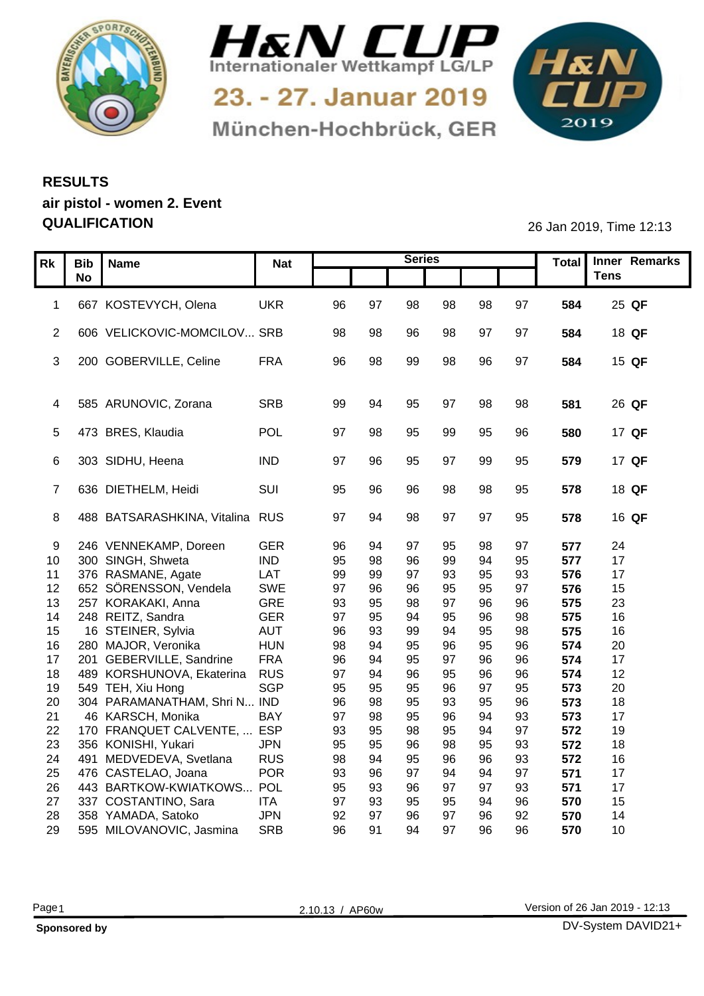



München-Hochbrück, GER

1&N 

## **RESULTS air pistol - women 2. Event QUALIFICATION** 26 Jan 2019, Time 12:13

| Rk              |                       |                                               |                            |          |          | <b>Series</b> |          |           |          |            | Total Inner Remarks |
|-----------------|-----------------------|-----------------------------------------------|----------------------------|----------|----------|---------------|----------|-----------|----------|------------|---------------------|
|                 | Bib Name<br><b>No</b> |                                               | <b>Nat</b>                 |          |          |               |          |           |          |            | <b>Tens</b>         |
|                 |                       |                                               |                            |          |          |               |          |           |          |            |                     |
| $\mathbf{1}$    |                       | 667 KOSTEVYCH, Olena                          | <b>UKR</b>                 | 96       | 97       | 98            | 98       | 98        | 97       | 584        | 25 QF               |
|                 |                       |                                               |                            |          |          |               |          |           |          |            |                     |
|                 |                       | 2 606 VELICKOVIC-MOMCILOV SRB                 |                            | 98       | 98       | 96            | 98       | 97        | 97       | 584        | 18 QF               |
|                 |                       |                                               |                            |          |          |               |          |           |          |            |                     |
|                 |                       | 3 200 GOBERVILLE, Celine                      | <b>FRA</b>                 | 96       | 98       | 99            | 98       | 96        | 97       | 584        | 15 QF               |
|                 |                       |                                               |                            |          |          |               |          |           |          |            |                     |
|                 |                       |                                               |                            |          |          |               |          |           |          |            |                     |
|                 |                       | 4 585 ARUNOVIC, Zorana                        | SRB                        | 99       |          | 95            | 97       | 98        | 98       | 581        | 26 QF               |
|                 |                       |                                               |                            |          | 9۶       |               |          |           |          |            |                     |
|                 |                       | 5 473 BRES, Klaudia                           | POL                        | 97       |          | 95            | 99       | 95        | 96       | 580        | 17 QF               |
|                 |                       | 6 303 SIDHU, Heena                            | <b>IND</b>                 | 97       | 96       | 95            | 97       | 99        | 95       | 579        | 17 QF               |
|                 |                       |                                               |                            |          |          |               |          |           |          |            |                     |
|                 |                       | 636 DIETHELM, Heidi                           | SUI                        | 95       | 96       | 96            | 98       | 98        | 95       | 578        | 18 QF               |
|                 |                       |                                               |                            |          |          |               |          |           |          |            |                     |
|                 |                       | 8 488 BATSARASHKINA, Vitalina RUS             |                            | 97       | 94       | 98            | 97       | 97        | 95       | 578        | 16 QF               |
|                 |                       |                                               |                            |          |          |               |          |           |          |            |                     |
| 9               |                       | 246 VENNEKAMP, Doreen                         | GER                        | 96       | ، 9      | 97            | 95       | 98        | 97       | 577        | 24                  |
|                 |                       | 10 300 SINGH, Shweta                          | <b>IND</b>                 | 95       | 98       | 96            | 99       | 94        | 95       | 577        | 17                  |
|                 |                       | 11 376 RASMANE, Agate                         | LAT                        | 99       | 99       | 97            | 93       | 95        | 93       | 576        | 17                  |
| 12 <sub>2</sub> |                       | 652 SÖRENSSON, Vendela                        | SWE                        | 97       | 96       | 96            | 95       | 95        | 97       | 576        | 15                  |
| 13              |                       | 257 KORAKAKI, Anna                            | GRE                        | 93       | 95       | 98            | 97       | 96        | 96       | 575        | 23                  |
| 14              |                       | 248 REITZ, Sandra                             | GER                        | 97       | 95       | 94            | 95       | 96        | 98       | 575        | 16                  |
| 15              |                       | 16 STEINER, Sylvia                            | <b>AUT</b>                 | 96       | 93       | 99            | 94       | 95        | 98       | 575        | 16                  |
| 16              |                       | 280 MAJOR, Veronika                           | <b>HUN</b>                 | 98       | 94       | 95            | 96       | 95        | 96       | 574        | 20                  |
| 17              |                       | 201 GEBERVILLE, Sandrine                      | <b>FRA</b>                 | 96       | -94      | 95            | 97       | 96        | 96       | 574        | 17                  |
| 18              |                       | 489 KORSHUNOVA, Ekaterina                     | <b>RUS</b>                 | 97       | 94       | 96            | 95       | 96        | 96       | 574        | 12                  |
| 19              |                       | 549 TEH, Xiu Hong                             | SGP                        | 95       | 95       | 95            | 96       | <b>Q7</b> | 95       | 573        | 20                  |
| 20              |                       | 304 PARAMANATHAM, Shri N IND                  |                            | 96       | 98       | 95            | 93       | 95        | 96       | 573        | 18                  |
| 21              |                       | 46 KARSCH, Monika                             | <b>BAY</b><br>$\ldots$ ESP | 97       | 98       | 95            | 96       | 94        | 93       | 573        | 17                  |
| 22              |                       | 170 FRANQUET CALVENTE,<br>356 KONISHI, Yukari | <b>JPN</b>                 | 93       | 95       | 98<br>96      | 95       | 94        | 97<br>93 | 572        | 19                  |
| 23<br>24        |                       | 491 MEDVEDEVA, Svetlana                       | <b>RUS</b>                 | 95<br>98 | 95<br>94 | 95            | 98<br>96 | 95<br>96  | 93       | 572<br>572 | 18<br>16            |
| 25              |                       | 476 CASTELAO, Joana                           | POR                        | 93       | 96       | 97            | 94       | 94        | 97       | 571        | 17                  |
| 26              |                       | 443 BARTKOW-KWIATKOWS POL                     |                            | 95       | 93       | 96            | 97       | 97        | 93       | 571        | 17                  |
| 27              |                       | 337 COSTANTINO, Sara                          | <b>ITA</b>                 | 97       | 93       | 95            | 95       | 94        | 96       | 570        | 15                  |
| 28              |                       | 358 YAMADA, Satoko                            | <b>JPN</b>                 | 92       | 97       | 96            | 97       | 96        | 92       | 570        | 14                  |
|                 |                       | 29 595 MILOVANOVIC, Jasmina                   | SRB                        | 96       | 91       | 94            | 97       | 96        | 96       | 570        | 10                  |
|                 |                       |                                               |                            |          |          |               |          |           |          |            |                     |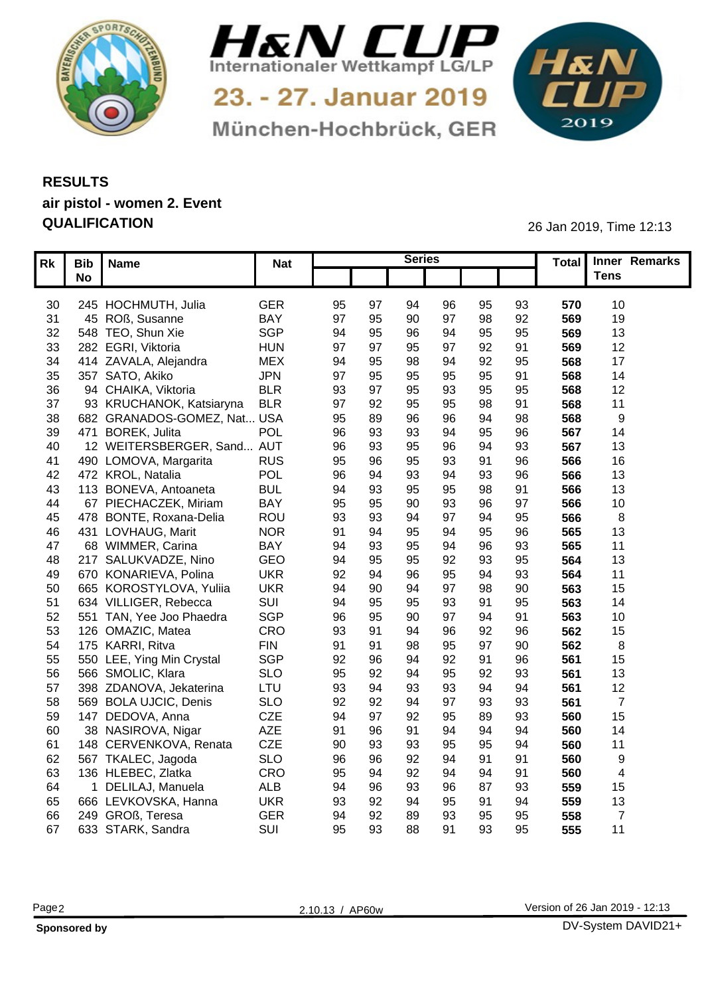



München-Hochbrück, GER

1&N 

## **RESULTS air pistol - women 2. Event QUALIFICATION** 26 Jan 2019, Time 12:13

|                 | $\overline{RK}$ Bib Name     | <b>Nat</b> |    |          | <b>Series</b> |                |    |                 | Total Inner Remarks |  |
|-----------------|------------------------------|------------|----|----------|---------------|----------------|----|-----------------|---------------------|--|
|                 | <b>No</b>                    |            |    |          |               |                |    |                 | <b>Tens</b>         |  |
|                 |                              |            |    |          |               |                |    |                 |                     |  |
|                 | 30 245 HOCHMUTH, Julia       | GER        | 95 | -97      | 94            | 96<br>95       | 93 | 570             | 10                  |  |
| 31              | 45 ROß, Susanne              | BAY        | 97 | 95       | 90<br>97      |                | 92 | 569             | 19                  |  |
| 32 <sub>2</sub> | 548 TEO, Shun Xie            | SGP        | 94 | 95       | 94<br>96      |                | 95 | 569             | 13                  |  |
| 33              | 282 EGRI, Viktoria           | <b>HUN</b> | 97 | $\Omega$ | 97<br>95      | 92             | 91 | 569             | 12                  |  |
| 34              | 414 ZAVALA, Alejandra        | MEX        | 94 |          | 98<br>94      | 92             | 95 | 568             | 17                  |  |
| $35\,$          | 357 SATO, Akiko              | <b>JPN</b> | 97 | 95       | 95<br>95      |                | 91 | 568             | 14                  |  |
| 36              | 94 CHAIKA, Viktoria          | <b>BLR</b> | 93 |          | 95<br>93      |                | 95 | 568             | 12                  |  |
| 37              | 93 KRUCHANOK, Katsiaryna     | <b>BLR</b> | 97 | 92       | 95<br>95      |                | 91 | 568             | 11                  |  |
| 38              | 682 GRANADOS-GOMEZ, Nat USA  |            | 95 | 89       | 96            |                | 98 | 568             | - Q                 |  |
|                 | 39 471 BOREK, Julita         | POL        | 96 | 93       | 94<br>93      |                | 96 | 567             | 14                  |  |
| 40              | 12 WEITERSBERGER, Sand AUT   |            | 96 | 93       | 95            | 96             | 93 | 567             | 13 <sup>°</sup>     |  |
| 41              | 490 LOMOVA, Margarita        | <b>RUS</b> | 95 | 96       | 95<br>93      |                | 96 | 566             | 16                  |  |
|                 | 42 472 KROL, Natalia         | POL        | 96 |          | 94<br>93      | 93             | 96 | 566             | 13                  |  |
| 43              | 113 BONEVA, Antoaneta        | <b>BUL</b> | 94 | 93       | 95            | 95<br>98       | 91 | 566             | 13 <sup>°</sup>     |  |
| 44              | 67 PIECHACZEK, Miriam        | <b>BAY</b> | 95 | 95       | 93<br>90      | 96             | 97 | 566             | 10                  |  |
|                 | 45 478 BONTE, Roxana-Delia   | ROU        | 93 | 93       | 97<br>94      |                | 95 | 566             |                     |  |
| 46              | 431 LOVHAUG, Marit           | <b>NOR</b> | 91 |          | 94<br>95      |                | 96 | 565             | 13                  |  |
| 47              | 68 WIMMER, Carina            | <b>BAY</b> | 94 | 93       | 95<br>94      | 96             | 93 | 565             | 11                  |  |
| 48              | 217 SALUKVADZE, Nino         | GEO        | 94 | 95       | 92<br>95      | 93             | 95 | 564             | 13 <sup>°</sup>     |  |
| 49              | 670 KONARIEVA, Polina        | <b>UKR</b> | 92 |          | 95            |                | 93 | 564             | 11                  |  |
|                 | 50 665 KOROSTYLOVA, Yuliia   | <b>UKR</b> | 94 | 90       | 97            |                | 90 | 563             | 15                  |  |
| 51              | 634 VILLIGER, Rebecca        | SUI        | 94 | 95       | 93<br>95      |                | 95 | 563             | 14                  |  |
|                 | 52 551 TAN, Yee Joo Phaedra  | SGP        | 96 |          | Q7            |                | 91 | 563             | 10                  |  |
|                 | 53 126 OMAZIC, Matea         | CRO        | 93 |          | 96            | 92             | 96 | 562             | 15                  |  |
|                 | 54 175 KARRI, Ritva          | <b>FIN</b> | 91 |          | 98<br>95      | Q <sub>7</sub> | 90 | 562             |                     |  |
|                 | 55 550 LEE, Ying Min Crystal | SGP        | 92 | 96       | 92            |                | 96 | 56 <sup>°</sup> | 15                  |  |
|                 | 56 566 SMOLIC, Klara         | <b>SLO</b> | 95 | 92       | 95            | 92             | 93 | 561             | 13 <sup>°</sup>     |  |
| 57              | 398 ZDANOVA, Jekaterina      | LTU        | 93 |          | 93            |                | 94 | 561             | 12 <sub>2</sub>     |  |
| 58              | 569 BOLA UJCIC, Denis        | <b>SLO</b> | 92 | 92       | 97            | 93             | 93 | 56'             |                     |  |
| 59              | 147 DEDOVA, Anna             | <b>CZE</b> | 94 |          |               |                | 93 | 560             | 15                  |  |
| 60              | 38 NASIROVA, Nigar           | AZE        | 91 | 96       | 94            |                | 94 | 560             | 14                  |  |
| 61              | 148 CERVENKOVA, Renata       | CZE        | 90 | 93       | 95<br>93      |                | 94 | 560             | 11                  |  |
| 62              | 567 TKALEC, Jagoda           | <b>SLO</b> | 96 | 96       | ٩4            |                | 91 | 560             | <b>Q</b>            |  |
| 63              | 136 HLEBEC, Zlatka           | CRO        | 95 |          | ٩4            |                | 91 | 560             |                     |  |
| 64              | 1 DELILAJ, Manuela           | ALB        | 94 |          | 93            |                | 93 | 559             | 15                  |  |
| 65              | 666 LEVKOVSKA, Hanna         | <b>UKR</b> | 93 | 92       | 95            |                | 94 | 559             | 13                  |  |
| 66              | 249 GROß, Teresa             | <b>GER</b> | 94 | 92       | 89<br>93      |                | 95 | 558             |                     |  |
| 67              | 633 STARK, Sandra            | SUI        | 95 | 93       | 88<br>91      | 93             | 95 | 555             |                     |  |
|                 |                              |            |    |          |               |                |    |                 |                     |  |